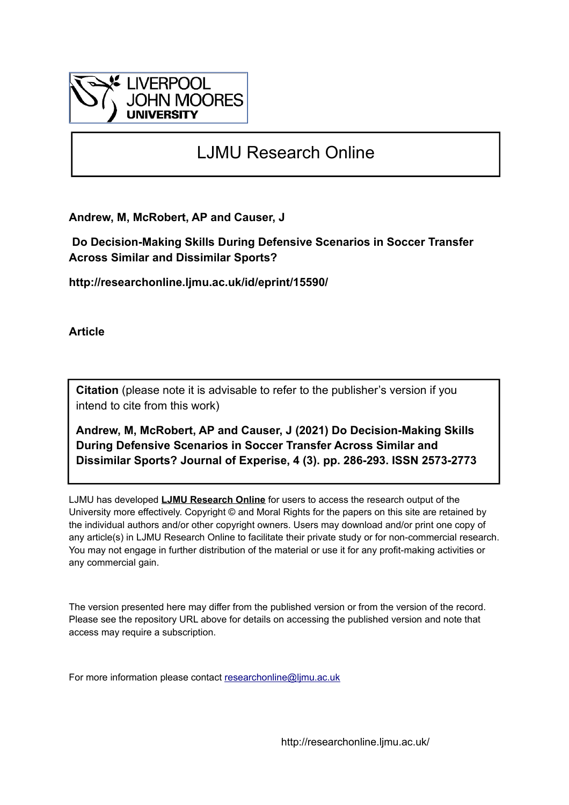

# LJMU Research Online

**Andrew, M, McRobert, AP and Causer, J**

 **Do Decision-Making Skills During Defensive Scenarios in Soccer Transfer Across Similar and Dissimilar Sports?**

**http://researchonline.ljmu.ac.uk/id/eprint/15590/**

**Article**

**Citation** (please note it is advisable to refer to the publisher's version if you intend to cite from this work)

**Andrew, M, McRobert, AP and Causer, J (2021) Do Decision-Making Skills During Defensive Scenarios in Soccer Transfer Across Similar and Dissimilar Sports? Journal of Experise, 4 (3). pp. 286-293. ISSN 2573-2773** 

LJMU has developed **[LJMU Research Online](http://researchonline.ljmu.ac.uk/)** for users to access the research output of the University more effectively. Copyright © and Moral Rights for the papers on this site are retained by the individual authors and/or other copyright owners. Users may download and/or print one copy of any article(s) in LJMU Research Online to facilitate their private study or for non-commercial research. You may not engage in further distribution of the material or use it for any profit-making activities or any commercial gain.

The version presented here may differ from the published version or from the version of the record. Please see the repository URL above for details on accessing the published version and note that access may require a subscription.

For more information please contact [researchonline@ljmu.ac.uk](mailto:researchonline@ljmu.ac.uk)

http://researchonline.ljmu.ac.uk/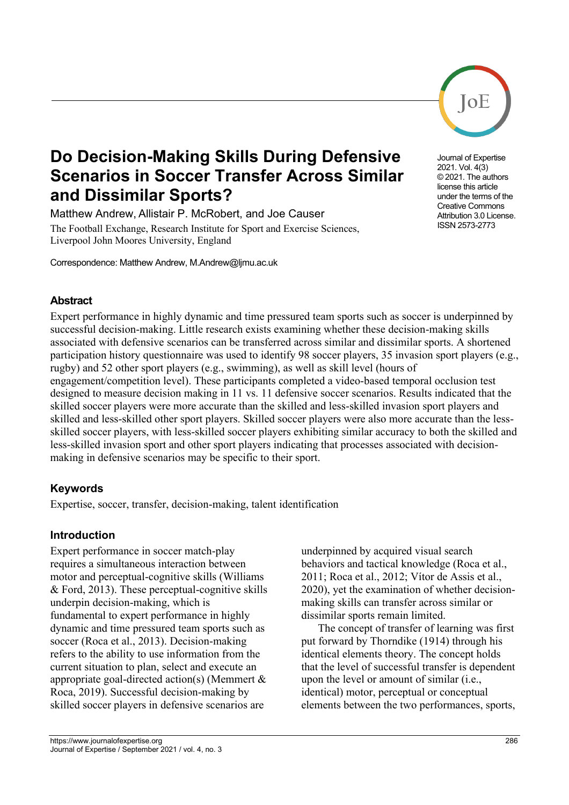# **Do Decision-Making Skills During Defensive Scenarios in Soccer Transfer Across Similar and Dissimilar Sports?**

Matthew Andrew, Allistair P. McRobert, and Joe Causer The Football Exchange, Research Institute for Sport and Exercise Sciences, Liverpool John Moores University, England

Correspondence: Matthew Andrew, M.Andrew@ljmu.ac.uk

# **Abstract**

Expert performance in highly dynamic and time pressured team sports such as soccer is underpinned by successful decision-making. Little research exists examining whether these decision-making skills associated with defensive scenarios can be transferred across similar and dissimilar sports. A shortened participation history questionnaire was used to identify 98 soccer players, 35 invasion sport players (e.g., rugby) and 52 other sport players (e.g., swimming), as well as skill level (hours of engagement/competition level). These participants completed a video-based temporal occlusion test designed to measure decision making in 11 vs. 11 defensive soccer scenarios. Results indicated that the skilled soccer players were more accurate than the skilled and less-skilled invasion sport players and skilled and less-skilled other sport players. Skilled soccer players were also more accurate than the lessskilled soccer players, with less-skilled soccer players exhibiting similar accuracy to both the skilled and less-skilled invasion sport and other sport players indicating that processes associated with decisionmaking in defensive scenarios may be specific to their sport.

# **Keywords**

Expertise, soccer, transfer, decision-making, talent identification

### **Introduction**

Expert performance in soccer match-play requires a simultaneous interaction between motor and perceptual-cognitive skills (Williams & Ford, 2013). These perceptual-cognitive skills underpin decision-making, which is fundamental to expert performance in highly dynamic and time pressured team sports such as soccer (Roca et al., 2013). Decision-making refers to the ability to use information from the current situation to plan, select and execute an appropriate goal-directed action(s) (Memmert & Roca, 2019). Successful decision-making by skilled soccer players in defensive scenarios are

underpinned by acquired visual search behaviors and tactical knowledge (Roca et al., 2011; Roca et al., 2012; Vítor de Assis et al., 2020), yet the examination of whether decisionmaking skills can transfer across similar or dissimilar sports remain limited.

The concept of transfer of learning was first put forward by Thorndike (1914) through his identical elements theory. The concept holds that the level of successful transfer is dependent upon the level or amount of similar (i.e., identical) motor, perceptual or conceptual elements between the two performances, sports,

Journal of Expertise 2021. Vol. 4(3) © 2021. The authors license this article under the terms of the Creative Commons Attribution 3.0 License. ISSN 2573-2773

 $O<sub>E</sub>$ 

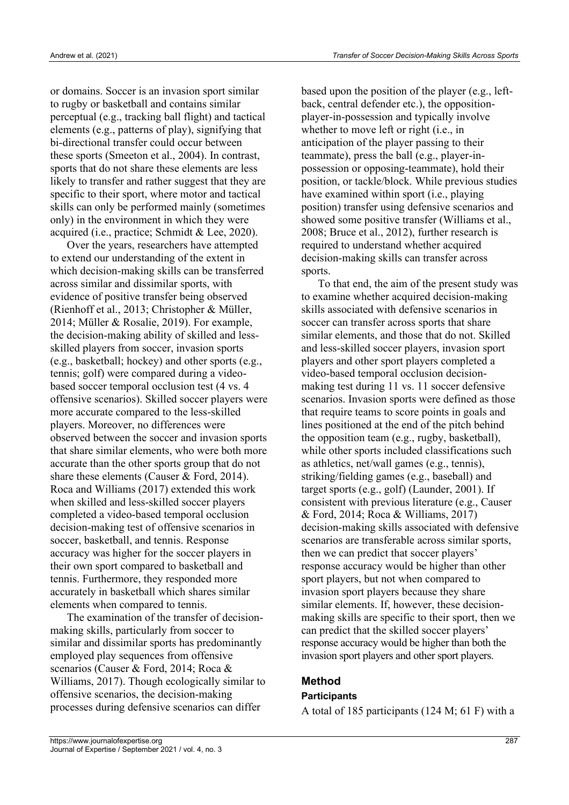or domains. Soccer is an invasion sport similar to rugby or basketball and contains similar perceptual (e.g., tracking ball flight) and tactical elements (e.g., patterns of play), signifying that bi-directional transfer could occur between these sports (Smeeton et al., 2004). In contrast, sports that do not share these elements are less likely to transfer and rather suggest that they are specific to their sport, where motor and tactical skills can only be performed mainly (sometimes only) in the environment in which they were acquired (i.e., practice; Schmidt & Lee, 2020).

Over the years, researchers have attempted to extend our understanding of the extent in which decision-making skills can be transferred across similar and dissimilar sports, with evidence of positive transfer being observed (Rienhoff et al., 2013; Christopher & Müller, 2014; Müller & Rosalie, 2019). For example, the decision-making ability of skilled and lessskilled players from soccer, invasion sports (e.g., basketball; hockey) and other sports (e.g., tennis; golf) were compared during a videobased soccer temporal occlusion test (4 vs. 4 offensive scenarios). Skilled soccer players were more accurate compared to the less-skilled players. Moreover, no differences were observed between the soccer and invasion sports that share similar elements, who were both more accurate than the other sports group that do not share these elements (Causer & Ford, 2014). Roca and Williams (2017) extended this work when skilled and less-skilled soccer players completed a video-based temporal occlusion decision-making test of offensive scenarios in soccer, basketball, and tennis. Response accuracy was higher for the soccer players in their own sport compared to basketball and tennis. Furthermore, they responded more accurately in basketball which shares similar elements when compared to tennis.

The examination of the transfer of decisionmaking skills, particularly from soccer to similar and dissimilar sports has predominantly employed play sequences from offensive scenarios (Causer & Ford, 2014; Roca & Williams, 2017). Though ecologically similar to offensive scenarios, the decision-making processes during defensive scenarios can differ

based upon the position of the player (e.g., leftback, central defender etc.), the oppositionplayer-in-possession and typically involve whether to move left or right (i.e., in anticipation of the player passing to their teammate), press the ball (e.g., player-inpossession or opposing-teammate), hold their position, or tackle/block. While previous studies have examined within sport (i.e., playing position) transfer using defensive scenarios and showed some positive transfer (Williams et al., 2008; Bruce et al., 2012), further research is required to understand whether acquired decision-making skills can transfer across sports.

To that end, the aim of the present study was to examine whether acquired decision-making skills associated with defensive scenarios in soccer can transfer across sports that share similar elements, and those that do not. Skilled and less-skilled soccer players, invasion sport players and other sport players completed a video-based temporal occlusion decisionmaking test during 11 vs. 11 soccer defensive scenarios. Invasion sports were defined as those that require teams to score points in goals and lines positioned at the end of the pitch behind the opposition team (e.g., rugby, basketball), while other sports included classifications such as athletics, net/wall games (e.g., tennis), striking/fielding games (e.g., baseball) and target sports (e.g., golf) (Launder, 2001). If consistent with previous literature (e.g., Causer & Ford, 2014; Roca & Williams, 2017) decision-making skills associated with defensive scenarios are transferable across similar sports, then we can predict that soccer players' response accuracy would be higher than other sport players, but not when compared to invasion sport players because they share similar elements. If, however, these decisionmaking skills are specific to their sport, then we can predict that the skilled soccer players' response accuracy would be higher than both the invasion sport players and other sport players.

#### **Method Participants**

A total of 185 participants (124 M; 61 F) with a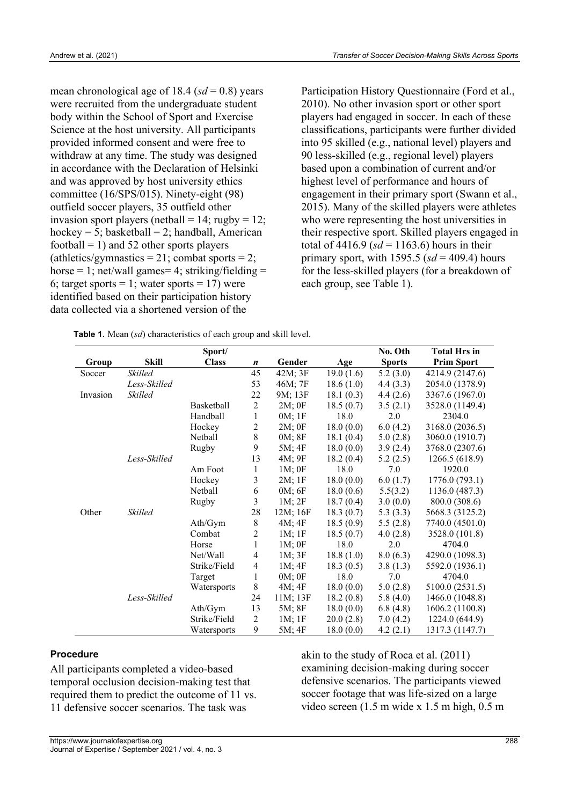mean chronological age of 18.4  $(sd = 0.8)$  years were recruited from the undergraduate student body within the School of Sport and Exercise Science at the host university. All participants provided informed consent and were free to withdraw at any time. The study was designed in accordance with the Declaration of Helsinki and was approved by host university ethics committee (16/SPS/015). Ninety-eight (98) outfield soccer players, 35 outfield other invasion sport players (netball =  $14$ ; rugby =  $12$ ; hockey = 5; basketball = 2; handball, American football  $= 1$ ) and 52 other sports players (athletics/gymnastics = 21; combat sports = 2; horse  $= 1$ ; net/wall games $= 4$ ; striking/fielding  $=$ 6; target sports  $= 1$ ; water sports  $= 17$ ) were identified based on their participation history data collected via a shortened version of the

Participation History Questionnaire (Ford et al., 2010). No other invasion sport or other sport players had engaged in soccer. In each of these classifications, participants were further divided into 95 skilled (e.g., national level) players and 90 less-skilled (e.g., regional level) players based upon a combination of current and/or highest level of performance and hours of engagement in their primary sport (Swann et al., 2015). Many of the skilled players were athletes who were representing the host universities in their respective sport. Skilled players engaged in total of  $4416.9$  ( $sd = 1163.6$ ) hours in their primary sport, with 1595.5  $(sd = 409.4)$  hours for the less-skilled players (for a breakdown of each group, see Table 1).

 **Table 1.** Mean (*sd*) characteristics of each group and skill level.

|          |                | Sport/       |                |             |           | No. Oth       | <b>Total Hrs in</b> |
|----------|----------------|--------------|----------------|-------------|-----------|---------------|---------------------|
| Group    | Skill          | <b>Class</b> | n              | Gender      | Age       | <b>Sports</b> | <b>Prim Sport</b>   |
| Soccer   | <b>Skilled</b> |              | 45             | 42M; 3F     | 19.0(1.6) | 5.2(3.0)      | 4214.9 (2147.6)     |
|          | Less-Skilled   |              | 53             | 46M; 7F     | 18.6(1.0) | 4.4(3.3)      | 2054.0 (1378.9)     |
| Invasion | <b>Skilled</b> |              | 22             | 9M; 13F     | 18.1(0.3) | 4.4(2.6)      | 3367.6 (1967.0)     |
|          |                | Basketball   | $\overline{2}$ | $2M$ ; OF   | 18.5(0.7) | 3.5(2.1)      | 3528.0 (1149.4)     |
|          |                | Handball     | $\mathbf{1}$   | 0M; 1F      | 18.0      | 2.0           | 2304.0              |
|          |                | Hockey       | $\overline{c}$ | $2M$ ; $0F$ | 18.0(0.0) | 6.0(4.2)      | 3168.0 (2036.5)     |
|          |                | Netball      | 8              | 0M; 8F      | 18.1(0.4) | 5.0(2.8)      | 3060.0 (1910.7)     |
|          |                | Rugby        | 9              | 5M; 4F      | 18.0(0.0) | 3.9(2.4)      | 3768.0 (2307.6)     |
|          | Less-Skilled   |              | 13             | 4M; 9F      | 18.2(0.4) | 5.2(2.5)      | 1266.5 (618.9)      |
|          |                | Am Foot      | $\mathbf{1}$   | 1M:0F       | 18.0      | 7.0           | 1920.0              |
|          |                | Hockey       | 3              | 2M; 1F      | 18.0(0.0) | 6.0(1.7)      | 1776.0 (793.1)      |
|          |                | Netball      | 6              | 0M; 6F      | 18.0(0.6) | 5.5(3.2)      | 1136.0 (487.3)      |
|          |                | Rugby        | 3              | $1M$ ; $2F$ | 18.7(0.4) | 3.0(0.0)      | 800.0 (308.6)       |
| Other    | <b>Skilled</b> |              | 28             | 12M; 16F    | 18.3(0.7) | 5.3(3.3)      | 5668.3 (3125.2)     |
|          |                | Ath/Gym      | $\,8\,$        | $4M$ ; $4F$ | 18.5(0.9) | 5.5(2.8)      | 7740.0 (4501.0)     |
|          |                | Combat       | 2              | $1M$ ; $1F$ | 18.5(0.7) | 4.0(2.8)      | 3528.0 (101.8)      |
|          |                | Horse        | 1              | 1M; 0F      | 18.0      | 2.0           | 4704.0              |
|          |                | Net/Wall     | 4              | 1M; 3F      | 18.8(1.0) | 8.0(6.3)      | 4290.0 (1098.3)     |
|          |                | Strike/Field | 4              | 1M; 4F      | 18.3(0.5) | 3.8(1.3)      | 5592.0 (1936.1)     |
|          |                | Target       | 1              | $0M$ ; $0F$ | 18.0      | 7.0           | 4704.0              |
|          |                | Watersports  | 8              | $4M$ ; $4F$ | 18.0(0.0) | 5.0(2.8)      | 5100.0 (2531.5)     |
|          | Less-Skilled   |              | 24             | 11M; 13F    | 18.2(0.8) | 5.8(4.0)      | 1466.0 (1048.8)     |
|          |                | Ath/Gym      | 13             | 5M; 8F      | 18.0(0.0) | 6.8(4.8)      | 1606.2 (1100.8)     |
|          |                | Strike/Field | $\overline{c}$ | $1M$ ; $1F$ | 20.0(2.8) | 7.0(4.2)      | 1224.0 (644.9)      |
|          |                | Watersports  | 9              | 5M; 4F      | 18.0(0.0) | 4.2(2.1)      | 1317.3 (1147.7)     |

#### **Procedure**

All participants completed a video-based temporal occlusion decision-making test that required them to predict the outcome of 11 vs. 11 defensive soccer scenarios. The task was

akin to the study of Roca et al. (2011) examining decision-making during soccer defensive scenarios. The participants viewed soccer footage that was life-sized on a large video screen (1.5 m wide x 1.5 m high, 0.5 m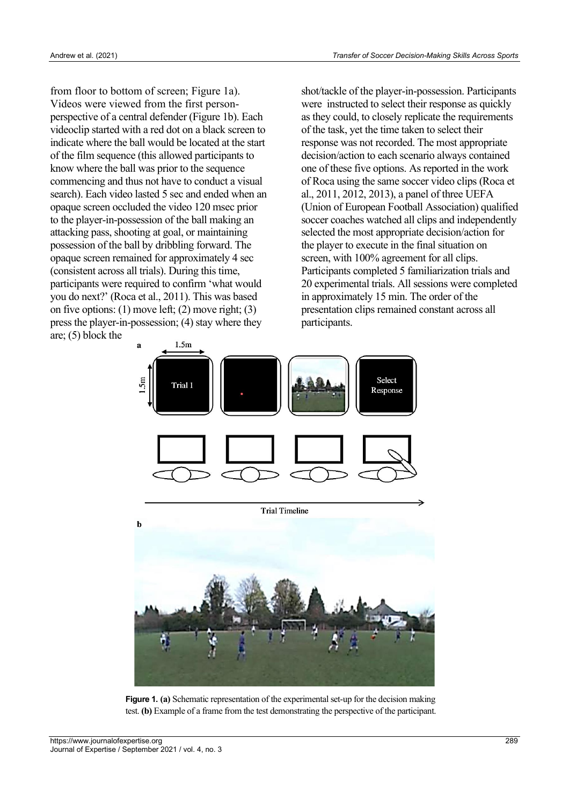from floor to bottom of screen; Figure 1a). Videos were viewed from the first personperspective of a central defender (Figure 1b). Each videoclip started with a red dot on a black screen to indicate where the ball would be located at the start of the film sequence (this allowed participants to know where the ball was prior to the sequence commencing and thus not have to conduct a visual search). Each video lasted 5 sec and ended when an opaque screen occluded the video 120 msec prior to the player-in-possession of the ball making an attacking pass, shooting at goal, or maintaining possession of the ball by dribbling forward. The opaque screen remained for approximately 4 sec (consistent across all trials). During this time, participants were required to confirm 'what would you do next?' (Roca et al., 2011). This was based on five options:  $(1)$  move left;  $(2)$  move right;  $(3)$ press the player-in-possession; (4) stay where they are; (5) block the

shot/tackle of the player-in-possession. Participants were instructed to select their response as quickly as they could, to closely replicate the requirements of the task, yet the time taken to select their response was not recorded. The most appropriate decision/action to each scenario always contained one of these five options. As reported in the work of Roca using the same soccer video clips (Roca et al., 2011, 2012, 2013), a panel of three UEFA (Union of European Football Association) qualified soccer coaches watched all clips and independently selected the most appropriate decision/action for the player to execute in the final situation on screen, with 100% agreement for all clips. Participants completed 5 familiarization trials and 20 experimental trials. All sessions were completed in approximately 15 min. The order of the presentation clips remained constant across all participants.



**Figure 1. (a)** Schematic representation of the experimental set-up for the decision making test. **(b)** Example of a frame from the test demonstrating the perspective of the participant.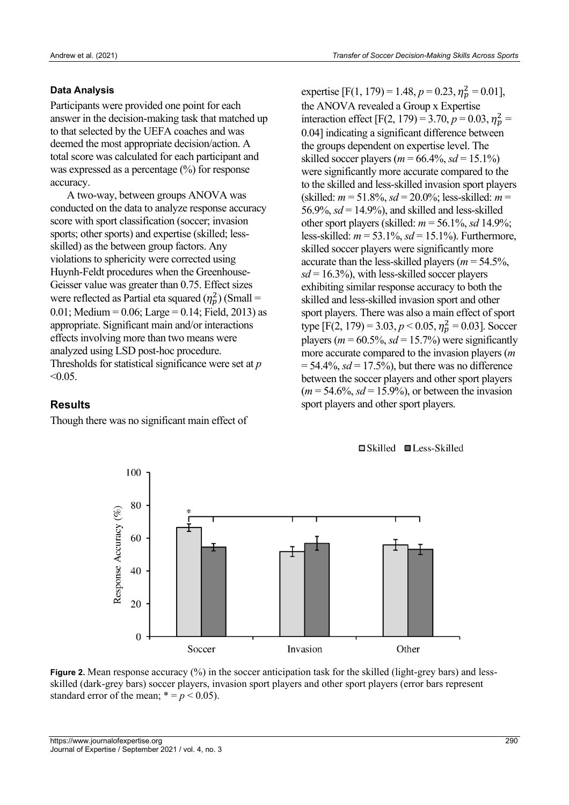#### **Data Analysis**

Participants were provided one point for each answer in the decision-making task that matched up to that selected by the UEFA coaches and was deemed the most appropriate decision/action. A total score was calculated for each participant and was expressed as a percentage (%) for response accuracy.

A two-way, between groups ANOVA was conducted on the data to analyze response accuracy score with sport classification (soccer; invasion sports; other sports) and expertise (skilled; lessskilled) as the between group factors. Any violations to sphericity were corrected using Huynh-Feldt procedures when the Greenhouse-Geisser value was greater than 0.75. Effect sizes were reflected as Partial eta squared  $(\eta_p^2)$  (Small = 0.01; Medium = 0.06; Large = 0.14; Field, 2013) as appropriate. Significant main and/or interactions effects involving more than two means were analyzed using LSD post-hoc procedure. Thresholds for statistical significance were set at *p*  $< 0.05$ .

#### **Results**

Though there was no significant main effect of

expertise [F(1, 179) = 1.48,  $p = 0.23$ ,  $\eta_p^2 = 0.01$ ], the ANOVA revealed a Group x Expertise interaction effect [F(2, 179) = 3.70,  $p = 0.03$ ,  $\eta_p^2$  = 0.04] indicating a significant difference between the groups dependent on expertise level. The skilled soccer players ( $m = 66.4\%$ ,  $sd = 15.1\%$ ) were significantly more accurate compared to the to the skilled and less-skilled invasion sport players (skilled: *m* = 51.8%, *sd* = 20.0%; less-skilled: *m* = 56.9%,  $sd = 14.9\%$ , and skilled and less-skilled other sport players (skilled:  $m = 56.1\%$ , *sd* 14.9%; less-skilled: *m* = 53.1%, *sd* = 15.1%). Furthermore, skilled soccer players were significantly more accurate than the less-skilled players (*m* = 54.5%,  $sd = 16.3\%$ , with less-skilled soccer players exhibiting similar response accuracy to both the skilled and less-skilled invasion sport and other sport players. There was also a main effect of sport type [F(2, 179) = 3.03,  $p < 0.05$ ,  $\eta_p^2 = 0.03$ ]. Soccer players ( $m = 60.5\%$ ,  $sd = 15.7\%$ ) were significantly more accurate compared to the invasion players (*m*  $= 54.4\%$ , *sd* = 17.5%), but there was no difference between the soccer players and other sport players  $(m = 54.6\%, sd = 15.9\%)$ , or between the invasion sport players and other sport players.





**Figure 2.** Mean response accuracy (%) in the soccer anticipation task for the skilled (light-grey bars) and lessskilled (dark-grey bars) soccer players, invasion sport players and other sport players (error bars represent standard error of the mean;  $* = p < 0.05$ ).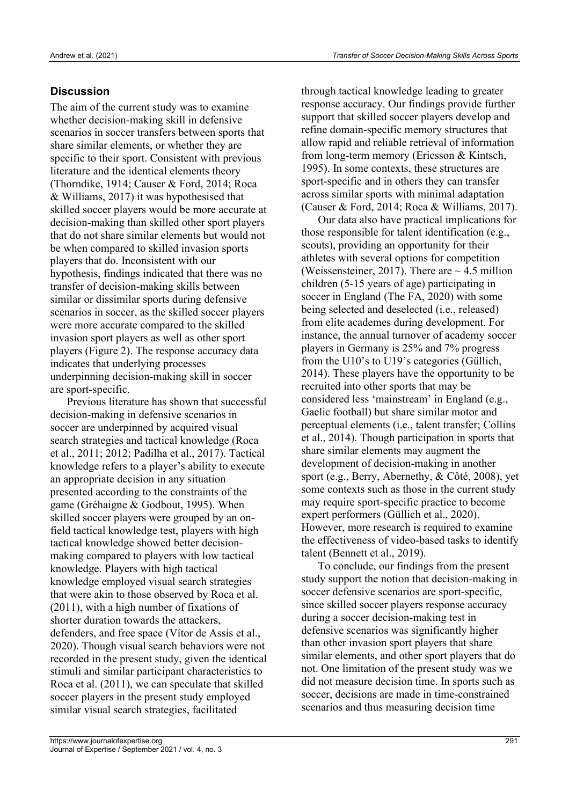### **Discussion**

The aim of the current study was to examine whether decision-making skill in defensive scenarios in soccer transfers between sports that share similar elements, or whether they are specific to their sport. Consistent with previous literature and the identical elements theory (Thorndike, 1914; Causer & Ford, 2014; Roca & Williams, 2017) it was hypothesised that skilled soccer players would be more accurate at decision-making than skilled other sport players that do not share similar elements but would not be when compared to skilled invasion sports players that do. Inconsistent with our hypothesis, findings indicated that there was no transfer of decision-making skills between similar or dissimilar sports during defensive scenarios in soccer, as the skilled soccer players were more accurate compared to the skilled invasion sport players as well as other sport players (Figure 2). The response accuracy data indicates that underlying processes underpinning decision-making skill in soccer are sport-specific.

Previous literature has shown that successful decision-making in defensive scenarios in soccer are underpinned by acquired visual search strategies and tactical knowledge (Roca et al., 2011; 2012; Padilha et al., 2017). Tactical knowledge refers to a player's ability to execute an appropriate decision in any situation presented according to the constraints of the game (Grehaigne & Godbout, 1995). When skilled soccer players were grouped by an onfield tactical knowledge test, players with high tactical knowledge showed better decisionmaking compared to players with low tactical knowledge. Players with high tactical knowledge employed visual search strategies that were akin to those observed by Roca et al. (2011), with a high number of fixations of shorter duration towards the attackers, defenders, and free space (Vítor de Assis et al., 2020). Though visual search behaviors were not recorded in the present study, given the identical stimuli and similar participant characteristics to Roca et al. (2011), we can speculate that skilled soccer players in the present study employed similar visual search strategies, facilitated

through tactical knowledge leading to greater response accuracy. Our findings provide further support that skilled soccer players develop and refine domain-specific memory structures that allow rapid and reliable retrieval of information from long-term memory (Ericsson & Kintsch, 1995). In some contexts, these structures are sport-specific and in others they can transfer across similar sports with minimal adaptation (Causer & Ford, 2014; Roca & Williams, 2017).

Our data also have practical implications for those responsible for talent identification (e.g., scouts), providing an opportunity for their athletes with several options for competition (Weissensteiner, 2017). There are  $\sim$  4.5 million children (5-15 years of age) participating in soccer in England (The FA, 2020) with some being selected and deselected (i.e., released) from elite academes during development. For instance, the annual turnover of academy soccer players in Germany is 25% and 7% progress from the U10's to U19's categories (Güllich, 2014). These players have the opportunity to be recruited into other sports that may be considered less 'mainstream' in England (e.g., Gaelic football) but share similar motor and perceptual elements (i.e., talent transfer; Collins et al., 2014). Though participation in sports that share similar elements may augment the development of decision-making in another sport (e.g., Berry, Abernethy, & Côté, 2008), yet some contexts such as those in the current study may require sport-specific practice to become expert performers (Güllich et al., 2020). However, more research is required to examine the effectiveness of video-based tasks to identify talent (Bennett et al., 2019).

To conclude, our findings from the present study support the notion that decision-making in soccer defensive scenarios are sport-specific, since skilled soccer players response accuracy during a soccer decision-making test in defensive scenarios was significantly higher than other invasion sport players that share similar elements, and other sport players that do not. One limitation of the present study was we did not measure decision time. In sports such as soccer, decisions are made in time-constrained scenarios and thus measuring decision time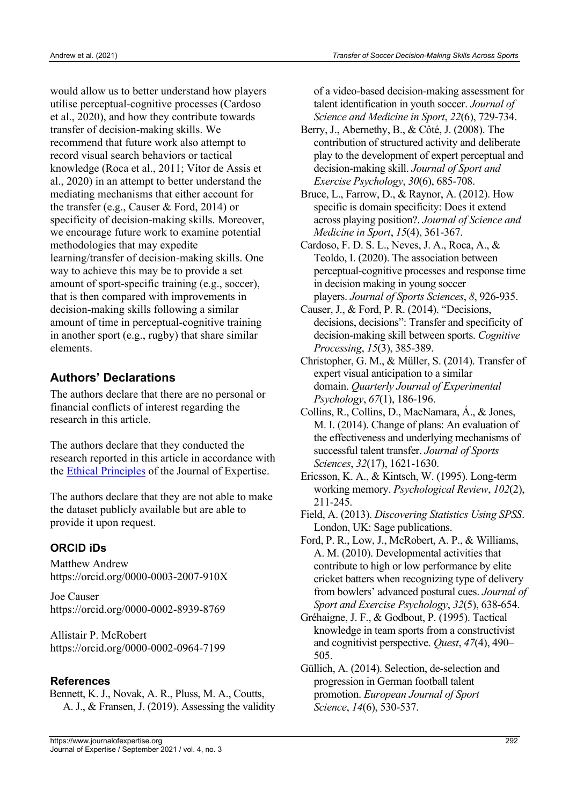would allow us to better understand how players utilise perceptual-cognitive processes (Cardoso et al., 2020), and how they contribute towards transfer of decision-making skills. We recommend that future work also attempt to record visual search behaviors or tactical knowledge (Roca et al., 2011; Vítor de Assis et al., 2020) in an attempt to better understand the mediating mechanisms that either account for the transfer (e.g., Causer & Ford, 2014) or specificity of decision-making skills. Moreover, we encourage future work to examine potential methodologies that may expedite learning/transfer of decision-making skills. One way to achieve this may be to provide a set amount of sport-specific training (e.g., soccer), that is then compared with improvements in decision-making skills following a similar amount of time in perceptual-cognitive training in another sport (e.g., rugby) that share similar elements.

## **Authors' Declarations**

The authors declare that there are no personal or financial conflicts of interest regarding the research in this article.

The authors declare that they conducted the research reported in this article in accordance with the Ethical Principles of the Journal of Expertise.

The authors declare that they are not able to make the dataset publicly available but are able to provide it upon request.

### **ORCID iDs**

Matthew Andrew https://orcid.org/0000-0003-2007-910X

Joe Causer https://orcid.org/0000-0002-8939-8769

Allistair P. McRobert https://orcid.org/0000-0002-0964-7199

### **References**

Bennett, K. J., Novak, A. R., Pluss, M. A., Coutts, A. J., & Fransen, J. (2019). Assessing the validity of a video-based decision-making assessment for talent identification in youth soccer. *Journal of Science and Medicine in Sport*, *22*(6), 729-734.

- Berry, J., Abernethy, B., & Côté, J. (2008). The contribution of structured activity and deliberate play to the development of expert perceptual and decision-making skill. *Journal of Sport and Exercise Psychology*, *30*(6), 685-708.
- Bruce, L., Farrow, D., & Raynor, A. (2012). How specific is domain specificity: Does it extend across playing position?. *Journal of Science and Medicine in Sport*, *15*(4), 361-367.
- Cardoso, F. D. S. L., Neves, J. A., Roca, A., & Teoldo, I. (2020). The association between perceptual-cognitive processes and response time in decision making in young soccer players. *Journal of Sports Sciences*, *8*, 926-935.
- Causer, J., & Ford, P. R. (2014). "Decisions, decisions, decisions": Transfer and specificity of decision-making skill between sports. *Cognitive Processing*, *15*(3), 385-389.
- Christopher, G. M., & Müller, S. (2014). Transfer of expert visual anticipation to a similar domain. *Quarterly Journal of Experimental Psychology*, *67*(1), 186-196.
- Collins, R., Collins, D., MacNamara, Á., & Jones, M. I. (2014). Change of plans: An evaluation of the effectiveness and underlying mechanisms of successful talent transfer. *Journal of Sports Sciences*, *32*(17), 1621-1630.
- Ericsson, K. A., & Kintsch, W. (1995). Long-term working memory. *Psychological Review*, *102*(2), 211-245.
- Field, A. (2013). *Discovering Statistics Using SPSS*. London, UK: Sage publications.
- Ford, P. R., Low, J., McRobert, A. P., & Williams, A. M. (2010). Developmental activities that contribute to high or low performance by elite cricket batters when recognizing type of delivery from bowlers' advanced postural cues. *Journal of Sport and Exercise Psychology*, *32*(5), 638-654.
- Grehaigne, J. F., & Godbout, P. (1995). Tactical knowledge in team sports from a constructivist and cognitivist perspective. *Quest*, *47*(4), 490– 505.
- Güllich, A. (2014). Selection, de-selection and progression in German football talent promotion. *European Journal of Sport Science*, *14*(6), 530-537.